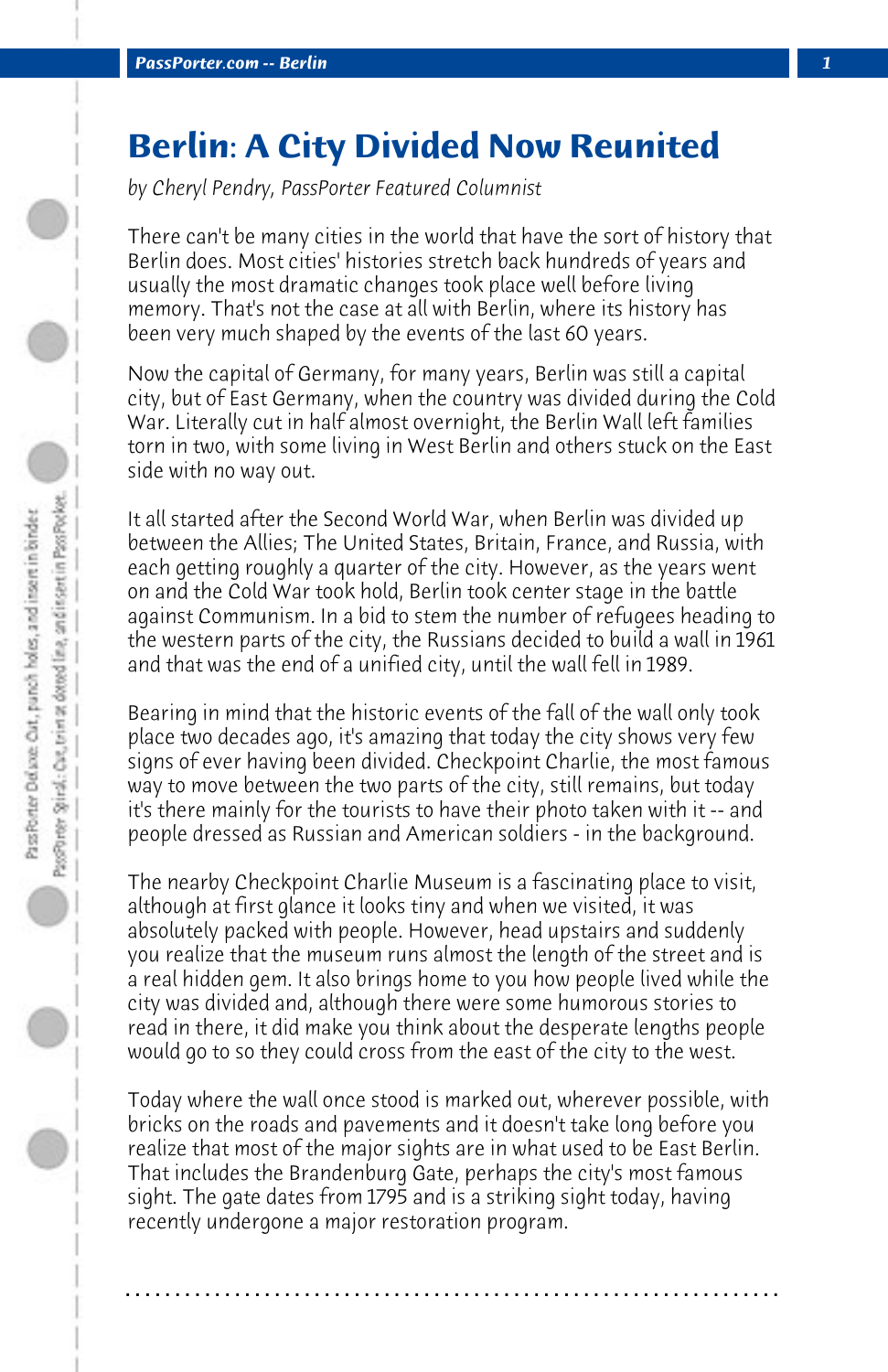## **Berlin: A City Divided Now Reunited**

*by Cheryl Pendry, PassPorter Featured Columnist*

There can't be many cities in the world that have the sort of history that Berlin does. Most cities' histories stretch back hundreds of years and usually the most dramatic changes took place well before living memory. That's not the case at all with Berlin, where its history has been very much shaped by the events of the last 60 years.

Now the capital of Germany, for many years, Berlin was still a capital city, but of East Germany, when the country was divided during the Cold War. Literally cut in half almost overnight, the Berlin Wall left families torn in two, with some living in West Berlin and others stuck on the East side with no way out.

It all started after the Second World War, when Berlin was divided up between the Allies; The United States, Britain, France, and Russia, with each getting roughly a quarter of the city. However, as the years went on and the Cold War took hold, Berlin took center stage in the battle against Communism. In a bid to stem the number of refugees heading to the western parts of the city, the Russians decided to build a wall in 1961 and that was the end of a unified city, until the wall fell in 1989.

Bearing in mind that the historic events of the fall of the wall only took place two decades ago, it's amazing that today the city shows very few signs of ever having been divided. Checkpoint Charlie, the most famous way to move between the two parts of the city, still remains, but today it's there mainly for the tourists to have their photo taken with it -- and people dressed as Russian and American soldiers - in the background.

The nearby Checkpoint Charlie Museum is a fascinating place to visit, although at first glance it looks tiny and when we visited, it was absolutely packed with people. However, head upstairs and suddenly you realize that the museum runs almost the length of the street and is a real hidden gem. It also brings home to you how people lived while the city was divided and, although there were some humorous stories to read in there, it did make you think about the desperate lengths people would go to so they could cross from the east of the city to the west.

Today where the wall once stood is marked out, wherever possible, with bricks on the roads and pavements and it doesn't take long before you realize that most of the major sights are in what used to be East Berlin. That includes the Brandenburg Gate, perhaps the city's most famous sight. The gate dates from 1795 and is a striking sight today, having recently undergone a major restoration program.

**. . . . . . . . . . . . . . . . . . . . . . . . . . . . . . . . . . . . . . . . . . . . . . . . . . . . . . . . . . . . . . . . . .**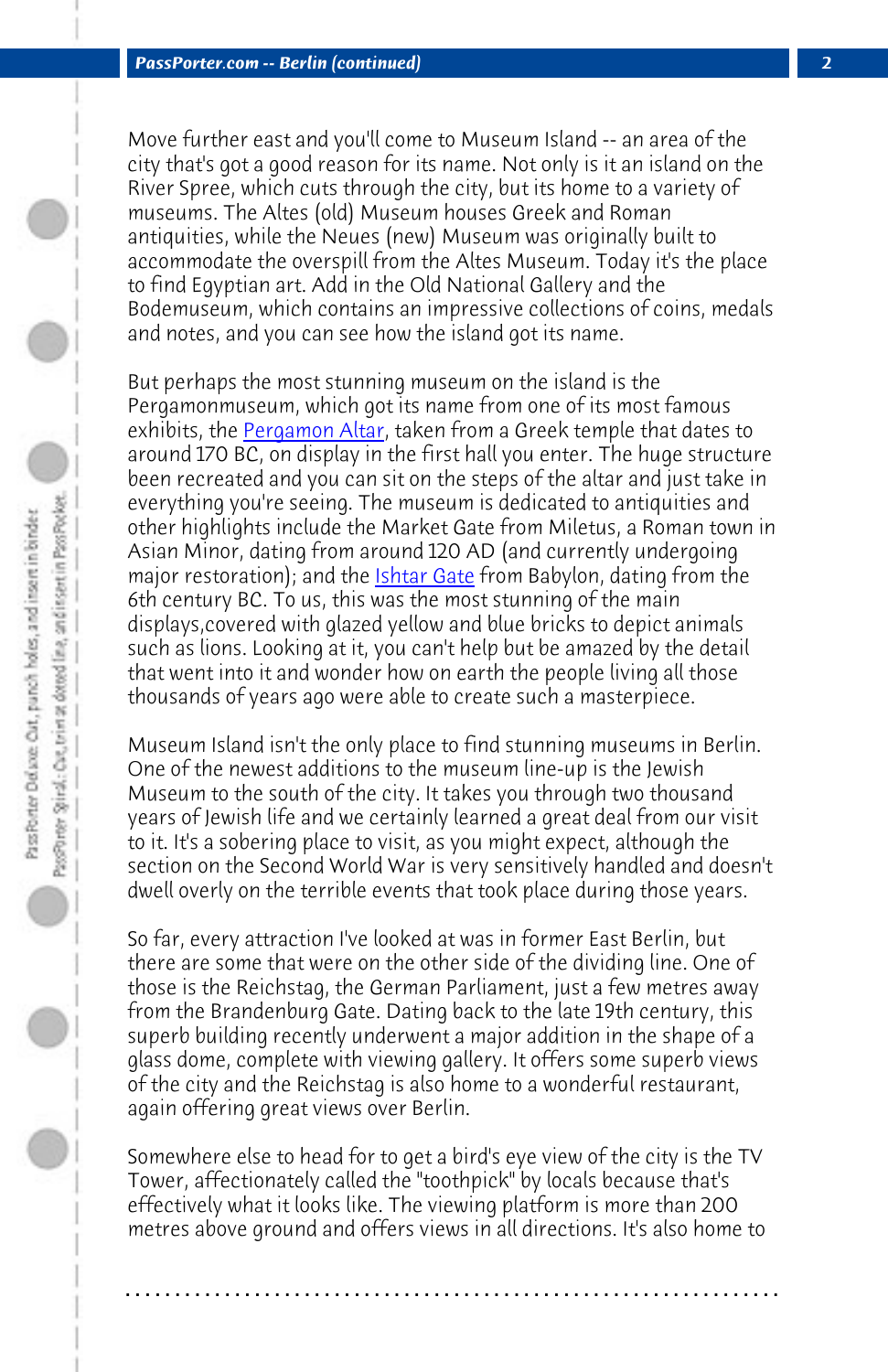*PassPorter.com -- Berlin (continued) 2*

Move further east and you'll come to Museum Island -- an area of the city that's got a good reaso[n for its nam](http://en.wikipedia.org/wiki/Ishtar_Gate)e. Not only is it an island on the River Spree, which cuts through the city, but its home to a variety of museums. The Altes (old) Museum houses Greek and Roman antiquities, while the Neues (new) Museum was originally built to accommodate the overspill from the Altes Museum. Today it's the place to find Egyptian art. Add in the Old National Gallery and the Bodemuseum, which contains an impressive collections of coins, medals and notes, and you can see how the island got its name.

But perhaps the most stunning museum on the island is the Pergamonmuseum, which got its name from one of its most famous exhibits, the Pergamon Altar, taken from a Greek temple that dates to around 170 BC, on display in the first hall you enter. The huge structure been recreated and you can sit on the steps of the altar and just take in everything you're seeing. The museum is dedicated to antiquities and other highlights include the Market Gate from Miletus, a Roman town in Asian Minor, dating from around 120 AD (and currently undergoing major restoration); and the *Ishtar Gate* from Babylon, dating from the 6th century BC. To us, this was the most stunning of the main displays,covered with glazed yellow and blue bricks to depict animals such as lions. Looking at it, you can't help but be amazed by the detail that went into it and wonder how on earth the people living all those thousands of years ago were able to create such a masterpiece.

Museum Island isn't the only place to find stunning museums in Berlin. One of the newest additions to the museum line-up is the Jewish Museum to the south of the city. It takes you through two thousand years of Jewish life and we certainly learned a great deal from our visit to it. It's a sobering place to visit, as you might expect, although the section on the Second World War is very sensitively handled and doesn't dwell overly on the terrible events that took place during those years.

So far, every attraction I've looked at was in former East Berlin, but there are some that were on the other side of the dividing line. One of those is the Reichstag, the German Parliament, just a few metres away from the Brandenburg Gate. Dating back to the late 19th century, this superb building recently underwent a major addition in the shape of a glass dome, complete with viewing gallery. It offers some superb views of the city and the Reichstag is also home to a wonderful restaurant, again offering great views over Berlin.

Somewhere else to head for to get a bird's eye view of the city is the TV Tower, affectionately called the "toothpick" by locals because that's effectively what it looks like. The viewing platform is more than 200 metres above ground and offers views in all directions. It's also home to

**. . . . . . . . . . . . . . . . . . . . . . . . . . . . . . . . . . . . . . . . . . . . . . . . . . . . . . . . . . . . . . . . . .**